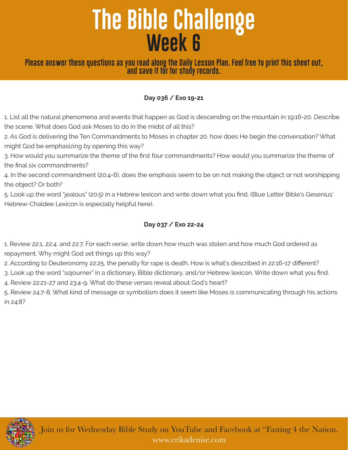# **The Bible Challenge Week 6**

## **Please answer these questions as you read along the Daily Lesson Plan. Feel free to print this sheet out, and save it for for study records.**

#### **Day 036 / Exo 19-21**

1. List all the natural phenomena and events that happen as God is descending on the mountain in 19:16-20. Describe the scene. What does God ask Moses to do in the midst of all this?

2. As God is delivering the Ten Commandments to Moses in chapter 20, how does He begin the conversation? What might God be emphasizing by opening this way?

3. How would you summarize the theme of the first four commandments? How would you summarize the theme of the final six commandments?

4. In the second commandment (20:4-6), does the emphasis seem to be on not making the object or not worshipping the object? Or both?

5. Look up the word "jealous" (20:5) in a Hebrew lexicon and write down what you find. (Blue Letter Bible's Gesenius' Hebrew-Chaldee Lexicon is especially helpful here).

#### **Day 037 / Exo 22-24**

1. Review 22:1, 22:4, and 22:7. For each verse, write down how much was stolen and how much God ordered as repayment. Why might God set things up this way?

2. According to Deuteronomy 22:25, the penalty for rape is death. How is what's described in 22:16-17 different?

3. Look up the word "sojourner" in a dictionary, Bible dictionary, and/or Hebrew lexicon. Write down what you find.

4. Review 22:21-27 and 23:4-9. What do these verses reveal about God's heart?

5. Review 24:7-8. What kind of message or symbolism does it seem like Moses is communicating through his actions in 24:8?



Join us for Wednesday Bible Study on YouTube and Facebook at "Fasting 4 the Nation. www.erikadenise.com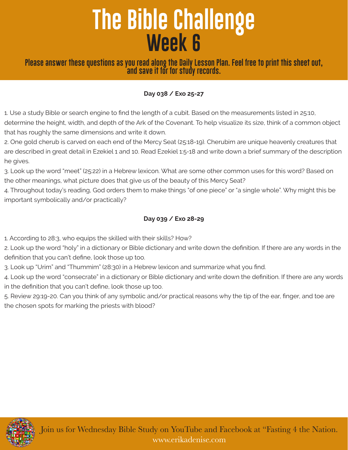# **The Bible Challenge Week 6**

**Please answer these questions as you read along the Daily Lesson Plan. Feel free to print this sheet out, and save it for for study records.**

### **Day 038 / Exo 25-27**

1. Use a study Bible or search engine to find the length of a cubit. Based on the measurements listed in 25:10, determine the height, width, and depth of the Ark of the Covenant. To help visualize its size, think of a common object that has roughly the same dimensions and write it down.

2. One gold cherub is carved on each end of the Mercy Seat (25:18-19). Cherubim are unique heavenly creatures that are described in great detail in Ezekiel 1 and 10. Read Ezekiel 1:5-18 and write down a brief summary of the description he gives.

3. Look up the word "meet" (25:22) in a Hebrew lexicon. What are some other common uses for this word? Based on the other meanings, what picture does that give us of the beauty of this Mercy Seat?

4. Throughout today's reading, God orders them to make things "of one piece" or "a single whole". Why might this be important symbolically and/or practically?

#### **Day 039 / Exo 28-29**

1. According to 28:3, who equips the skilled with their skills? How?

2. Look up the word "holy" in a dictionary or Bible dictionary and write down the definition. If there are any words in the definition that you can't define, look those up too.

3. Look up "Urim" and "Thummim" (28:30) in a Hebrew lexicon and summarize what you find.

4. Look up the word "consecrate" in a dictionary or Bible dictionary and write down the definition. If there are any words in the definition that you can't define, look those up too.

5. Review 29:19-20. Can you think of any symbolic and/or practical reasons why the tip of the ear, finger, and toe are the chosen spots for marking the priests with blood?

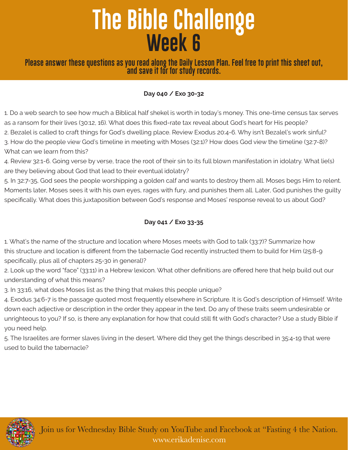# **The Bible Challenge Week 6**

**Please answer these questions as you read along the Daily Lesson Plan. Feel free to print this sheet out, and save it for for study records.**

#### **Day 040 / Exo 30-32**

1. Do a web search to see how much a Biblical half shekel is worth in today's money. This one-time census tax serves as a ransom for their lives (30:12, 16). What does this fixed-rate tax reveal about God's heart for His people? 2. Bezalel is called to craft things for God's dwelling place. Review Exodus 20:4-6. Why isn't Bezalel's work sinful? 3. How do the people view God's timeline in meeting with Moses (32:1)? How does God view the timeline (32:7-8)? What can we learn from this?

4. Review 32:1-6. Going verse by verse, trace the root of their sin to its full blown manifestation in idolatry. What lie(s) are they believing about God that lead to their eventual idolatry?

5. In 32:7-35, God sees the people worshipping a golden calf and wants to destroy them all. Moses begs Him to relent. Moments later, Moses sees it with his own eyes, rages with fury, and punishes them all. Later, God punishes the guilty specifically. What does this juxtaposition between God's response and Moses' response reveal to us about God?

## **Day 041 / Exo 33-35**

1. What's the name of the structure and location where Moses meets with God to talk (33:7)? Summarize how this structure and location is different from the tabernacle God recently instructed them to build for Him (25:8-9 specifically, plus all of chapters 25-30 in general)?

2. Look up the word "face" (33:11) in a Hebrew lexicon. What other definitions are offered here that help build out our understanding of what this means?

3. In 33:16, what does Moses list as the thing that makes this people unique?

4. Exodus 34:6-7 is the passage quoted most frequently elsewhere in Scripture. It is God's description of Himself. Write down each adjective or description in the order they appear in the text. Do any of these traits seem undesirable or unrighteous to you? If so, is there any explanation for how that could still fit with God's character? Use a study Bible if you need help.

5. The Israelites are former slaves living in the desert. Where did they get the things described in 35:4-19 that were used to build the tabernacle?



Join us for Wednesday Bible Study on YouTube and Facebook at "Fasting 4 the Nation. www.erikadenise.com